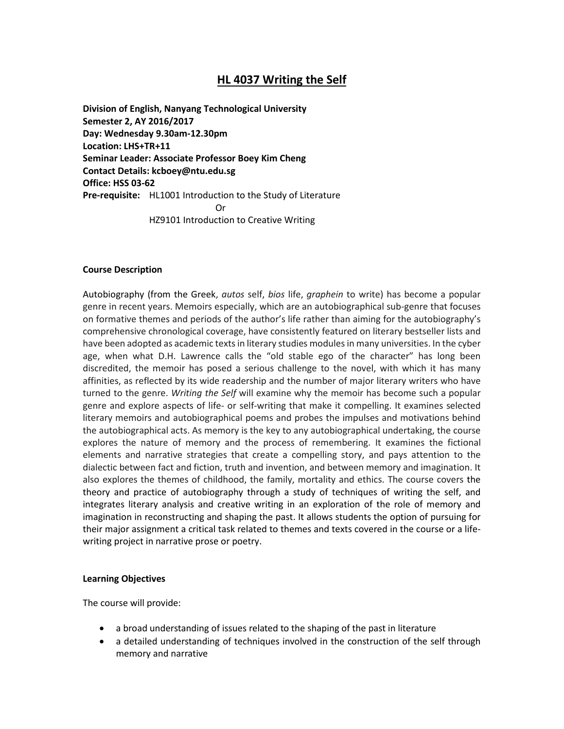# **HL 4037 Writing the Self**

**Division of English, Nanyang Technological University Semester 2, AY 2016/2017 Day: Wednesday 9.30am-12.30pm Location: LHS+TR+11 Seminar Leader: Associate Professor Boey Kim Cheng Contact Details: kcboey@ntu.edu.sg Office: HSS 03-62 Pre-requisite:** HL1001 Introduction to the Study of Literature Or HZ9101 Introduction to Creative Writing

#### **Course Description**

Autobiography (from the [Greek,](https://en.wikipedia.org/wiki/Greek_language) *autos* self, *bios* life, *graphein* to write) has become a popular genre in recent years. Memoirs especially, which are an autobiographical sub-genre that focuses on formative themes and periods of the author's life rather than aiming for the autobiography's comprehensive chronological coverage, have consistently featured on literary bestseller lists and have been adopted as academic texts in literary studies modules in many universities. In the cyber age, when what D.H. Lawrence calls the "old stable ego of the character" has long been discredited, the memoir has posed a serious challenge to the novel, with which it has many affinities, as reflected by its wide readership and the number of major literary writers who have turned to the genre. *Writing the Self* will examine why the memoir has become such a popular genre and explore aspects of life- or self-writing that make it compelling. It examines selected literary memoirs and autobiographical poems and probes the impulses and motivations behind the autobiographical acts. As memory is the key to any autobiographical undertaking, the course explores the nature of memory and the process of remembering. It examines the fictional elements and narrative strategies that create a compelling story, and pays attention to the dialectic between fact and fiction, truth and invention, and between memory and imagination. It also explores the themes of childhood, the family, mortality and ethics. The course covers the theory and practice of autobiography through a study of techniques of writing the self, and integrates literary analysis and creative writing in an exploration of the role of memory and imagination in reconstructing and shaping the past. It allows students the option of pursuing for their major assignment a critical task related to themes and texts covered in the course or a lifewriting project in narrative prose or poetry.

#### **Learning Objectives**

The course will provide:

- a broad understanding of issues related to the shaping of the past in literature
- a detailed understanding of techniques involved in the construction of the self through memory and narrative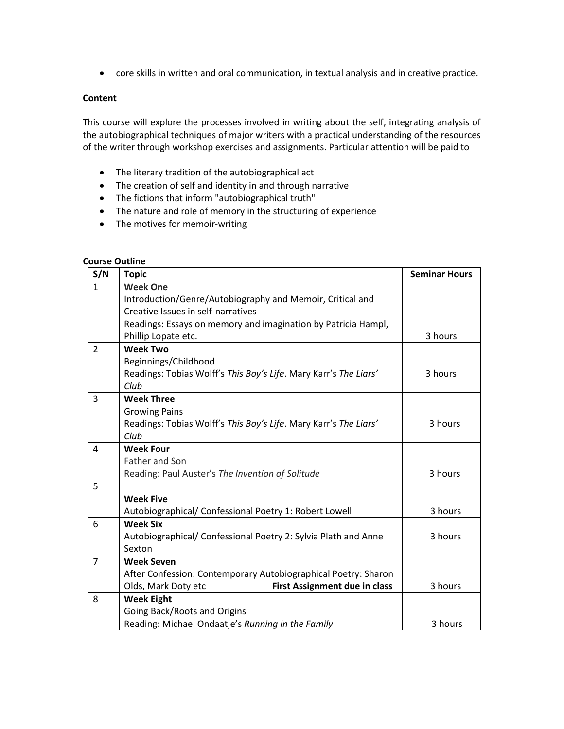• core skills in written and oral communication, in textual analysis and in creative practice.

# **Content**

This course will explore the processes involved in writing about the self, integrating analysis of the autobiographical techniques of major writers with a practical understanding of the resources of the writer through workshop exercises and assignments. Particular attention will be paid to

- The literary tradition of the autobiographical act
- The creation of self and identity in and through narrative
- The fictions that inform "autobiographical truth"
- The nature and role of memory in the structuring of experience
- The motives for memoir-writing

## **Course Outline**

| S/N            | <b>Topic</b>                                                     | <b>Seminar Hours</b> |
|----------------|------------------------------------------------------------------|----------------------|
| $\mathbf{1}$   | <b>Week One</b>                                                  |                      |
|                | Introduction/Genre/Autobiography and Memoir, Critical and        |                      |
|                | Creative Issues in self-narratives                               |                      |
|                | Readings: Essays on memory and imagination by Patricia Hampl,    |                      |
|                | Phillip Lopate etc.                                              | 3 hours              |
| $\overline{2}$ | <b>Week Two</b>                                                  |                      |
|                | Beginnings/Childhood                                             |                      |
|                | Readings: Tobias Wolff's This Boy's Life. Mary Karr's The Liars' | 3 hours              |
|                | Club                                                             |                      |
| 3              | <b>Week Three</b>                                                |                      |
|                | <b>Growing Pains</b>                                             |                      |
|                | Readings: Tobias Wolff's This Boy's Life. Mary Karr's The Liars' | 3 hours              |
|                | Club                                                             |                      |
| 4              | <b>Week Four</b>                                                 |                      |
|                | <b>Father and Son</b>                                            |                      |
|                | Reading: Paul Auster's The Invention of Solitude                 | 3 hours              |
| 5              |                                                                  |                      |
|                | <b>Week Five</b>                                                 |                      |
|                | Autobiographical/ Confessional Poetry 1: Robert Lowell           | 3 hours              |
| 6              | <b>Week Six</b>                                                  |                      |
|                | Autobiographical/ Confessional Poetry 2: Sylvia Plath and Anne   | 3 hours              |
|                | Sexton                                                           |                      |
| $\overline{7}$ | <b>Week Seven</b>                                                |                      |
|                | After Confession: Contemporary Autobiographical Poetry: Sharon   |                      |
|                | <b>First Assignment due in class</b><br>Olds, Mark Doty etc      | 3 hours              |
| 8              | <b>Week Eight</b>                                                |                      |
|                | Going Back/Roots and Origins                                     |                      |
|                | Reading: Michael Ondaatje's Running in the Family                | 3 hours              |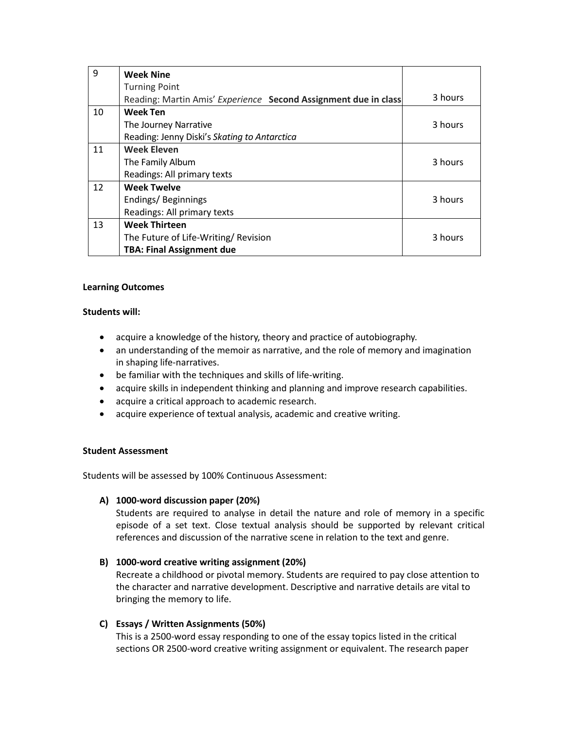| 9  | <b>Week Nine</b>                                                |         |
|----|-----------------------------------------------------------------|---------|
|    | <b>Turning Point</b>                                            |         |
|    | Reading: Martin Amis' Experience Second Assignment due in class | 3 hours |
| 10 | <b>Week Ten</b>                                                 |         |
|    | The Journey Narrative                                           | 3 hours |
|    | Reading: Jenny Diski's Skating to Antarctica                    |         |
| 11 | <b>Week Eleven</b>                                              |         |
|    | The Family Album                                                | 3 hours |
|    | Readings: All primary texts                                     |         |
| 12 | <b>Week Twelve</b>                                              |         |
|    | Endings/Beginnings                                              | 3 hours |
|    | Readings: All primary texts                                     |         |
| 13 | <b>Week Thirteen</b>                                            |         |
|    | The Future of Life-Writing/ Revision                            | 3 hours |
|    | <b>TBA: Final Assignment due</b>                                |         |

# **Learning Outcomes**

# **Students will:**

- acquire a knowledge of the history, theory and practice of autobiography.
- an understanding of the memoir as narrative, and the role of memory and imagination in shaping life-narratives.
- be familiar with the techniques and skills of life-writing.
- acquire skills in independent thinking and planning and improve research capabilities.
- acquire a critical approach to academic research.
- acquire experience of textual analysis, academic and creative writing.

# **Student Assessment**

Students will be assessed by 100% Continuous Assessment:

# **A) 1000-word discussion paper (20%)**

Students are required to analyse in detail the nature and role of memory in a specific episode of a set text. Close textual analysis should be supported by relevant critical references and discussion of the narrative scene in relation to the text and genre.

# **B) 1000-word creative writing assignment (20%)**

Recreate a childhood or pivotal memory. Students are required to pay close attention to the character and narrative development. Descriptive and narrative details are vital to bringing the memory to life.

# **C) Essays / Written Assignments (50%)**

This is a 2500-word essay responding to one of the essay topics listed in the critical sections OR 2500-word creative writing assignment or equivalent. The research paper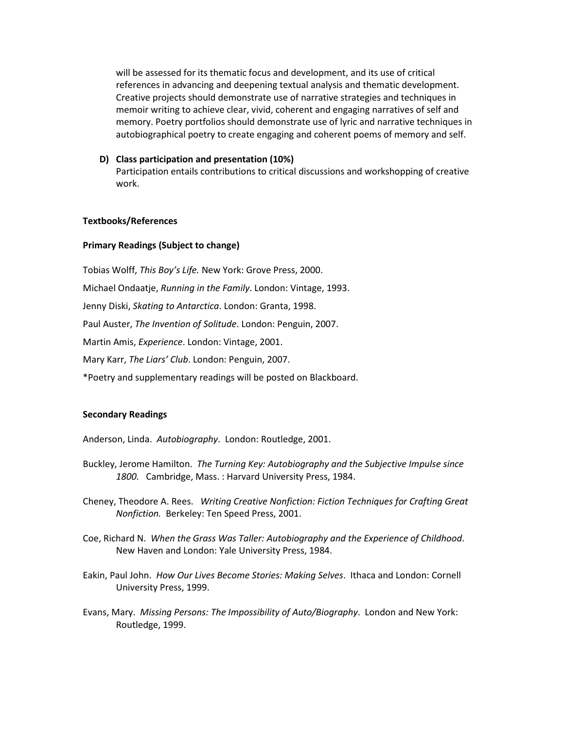will be assessed for its thematic focus and development, and its use of critical references in advancing and deepening textual analysis and thematic development. Creative projects should demonstrate use of narrative strategies and techniques in memoir writing to achieve clear, vivid, coherent and engaging narratives of self and memory. Poetry portfolios should demonstrate use of lyric and narrative techniques in autobiographical poetry to create engaging and coherent poems of memory and self.

## **D) Class participation and presentation (10%)**

Participation entails contributions to critical discussions and workshopping of creative work.

## **Textbooks/References**

## **Primary Readings (Subject to change)**

Tobias Wolff, *This Boy's Life.* New York: Grove Press, 2000. Michael Ondaatje, *Running in the Family*. London: Vintage, 1993.

Jenny Diski, *Skating to Antarctica*. London: Granta, 1998.

Paul Auster, *The Invention of Solitude*. London: Penguin, 2007.

Martin Amis, *Experience*. London: Vintage, 2001.

Mary Karr, *The Liars' Club*. London: Penguin, 2007.

\*Poetry and supplementary readings will be posted on Blackboard.

#### **Secondary Readings**

Anderson, Linda. *Autobiography*. London: Routledge, 2001.

- Buckley, Jerome Hamilton. *The Turning Key: Autobiography and the Subjective Impulse since 1800.* Cambridge, Mass. : Harvard University Press, 1984.
- Cheney, Theodore A. Rees. *Writing Creative Nonfiction: Fiction Techniques for Crafting Great Nonfiction.* Berkeley: Ten Speed Press, 2001.
- Coe, Richard N. *When the Grass Was Taller: Autobiography and the Experience of Childhood*. New Haven and London: Yale University Press, 1984.
- Eakin, Paul John. *How Our Lives Become Stories: Making Selves*. Ithaca and London: Cornell University Press, 1999.
- Evans, Mary. *Missing Persons: The Impossibility of Auto/Biography*. London and New York: Routledge, 1999.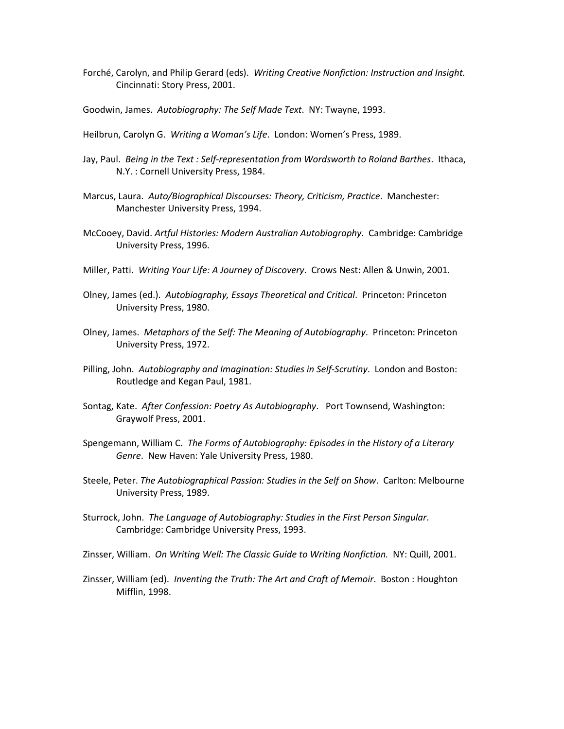- Forché, Carolyn, and Philip Gerard (eds). *Writing Creative Nonfiction: Instruction and Insight.*  Cincinnati: Story Press, 2001.
- Goodwin, James. *Autobiography: The Self Made Text*. NY: Twayne, 1993.
- Heilbrun, Carolyn G. *Writing a Woman's Life*. London: Women's Press, 1989.
- Jay, Paul. *Being in the Text : Self-representation from Wordsworth to Roland Barthes*. Ithaca, N.Y. : Cornell University Press, 1984.
- Marcus, Laura. *Auto/Biographical Discourses: Theory, Criticism, Practice*. Manchester: Manchester University Press, 1994.
- McCooey, David. *Artful Histories: Modern Australian Autobiography*. Cambridge: Cambridge University Press, 1996.
- Miller, Patti. *Writing Your Life: A Journey of Discovery*. Crows Nest: Allen & Unwin, 2001.
- Olney, James (ed.). *Autobiography, Essays Theoretical and Critical*. Princeton: Princeton University Press, 1980.
- Olney, James. *Metaphors of the Self: The Meaning of Autobiography*. Princeton: Princeton University Press, 1972.
- Pilling, John. *Autobiography and Imagination: Studies in Self-Scrutiny*. London and Boston: Routledge and Kegan Paul, 1981.
- Sontag, Kate. *After Confession: Poetry As Autobiography*. Port Townsend, Washington: Graywolf Press, 2001.
- Spengemann, William C. *The Forms of Autobiography: Episodes in the History of a Literary Genre*. New Haven: Yale University Press, 1980.
- Steele, Peter. *The Autobiographical Passion: Studies in the Self on Show*. Carlton: Melbourne University Press, 1989.
- Sturrock, John. *The Language of Autobiography: Studies in the First Person Singular*. Cambridge: Cambridge University Press, 1993.
- Zinsser, William. *On Writing Well: The Classic Guide to Writing Nonfiction.* NY: Quill, 2001.
- Zinsser, William (ed). *Inventing the Truth: The Art and Craft of Memoir*. Boston : Houghton Mifflin, 1998.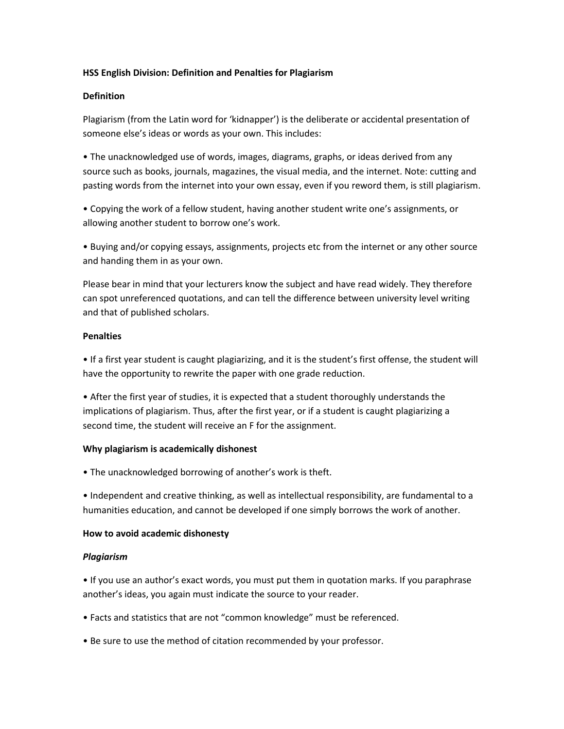# **HSS English Division: Definition and Penalties for Plagiarism**

## **Definition**

Plagiarism (from the Latin word for 'kidnapper') is the deliberate or accidental presentation of someone else's ideas or words as your own. This includes:

• The unacknowledged use of words, images, diagrams, graphs, or ideas derived from any source such as books, journals, magazines, the visual media, and the internet. Note: cutting and pasting words from the internet into your own essay, even if you reword them, is still plagiarism.

• Copying the work of a fellow student, having another student write one's assignments, or allowing another student to borrow one's work.

• Buying and/or copying essays, assignments, projects etc from the internet or any other source and handing them in as your own.

Please bear in mind that your lecturers know the subject and have read widely. They therefore can spot unreferenced quotations, and can tell the difference between university level writing and that of published scholars.

## **Penalties**

• If a first year student is caught plagiarizing, and it is the student's first offense, the student will have the opportunity to rewrite the paper with one grade reduction.

• After the first year of studies, it is expected that a student thoroughly understands the implications of plagiarism. Thus, after the first year, or if a student is caught plagiarizing a second time, the student will receive an F for the assignment.

# **Why plagiarism is academically dishonest**

• The unacknowledged borrowing of another's work is theft.

• Independent and creative thinking, as well as intellectual responsibility, are fundamental to a humanities education, and cannot be developed if one simply borrows the work of another.

#### **How to avoid academic dishonesty**

# *Plagiarism*

• If you use an author's exact words, you must put them in quotation marks. If you paraphrase another's ideas, you again must indicate the source to your reader.

- Facts and statistics that are not "common knowledge" must be referenced.
- Be sure to use the method of citation recommended by your professor.